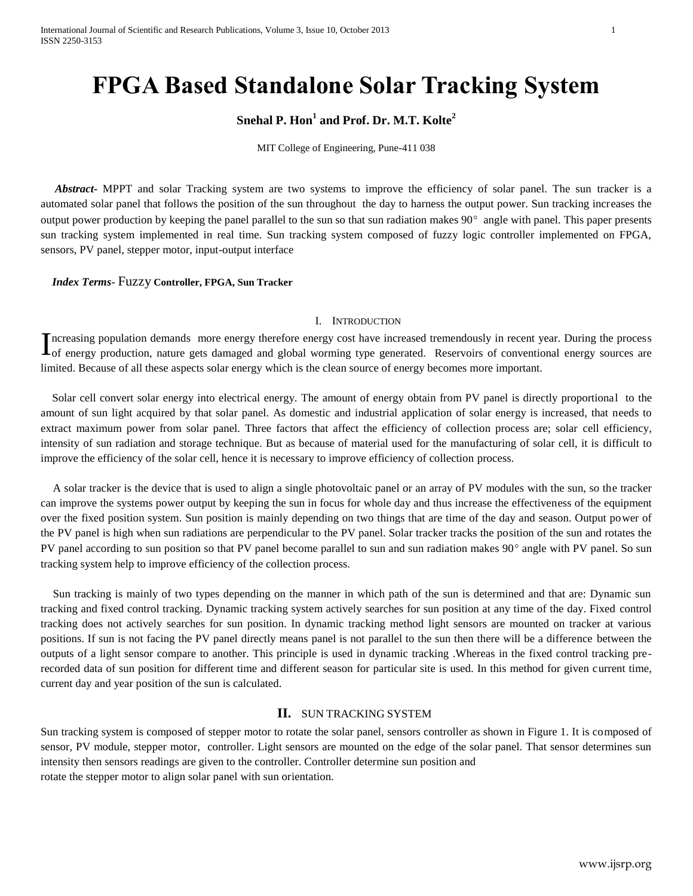# **FPGA Based Standalone Solar Tracking System**

## **Snehal P. Hon<sup>1</sup> and Prof. Dr. M.T. Kolte<sup>2</sup>**

MIT College of Engineering, Pune-411 038

 *Abstract***-** MPPT and solar Tracking system are two systems to improve the efficiency of solar panel. The sun tracker is a automated solar panel that follows the position of the sun throughout the day to harness the output power. Sun tracking increases the output power production by keeping the panel parallel to the sun so that sun radiation makes  $90^\circ$  angle with panel. This paper presents sun tracking system implemented in real time. Sun tracking system composed of fuzzy logic controller implemented on FPGA, sensors, PV panel, stepper motor, input-output interface

*Index Terms*- Fuzzy **Controller, FPGA, Sun Tracker**

#### I. INTRODUCTION

ncreasing population demands more energy therefore energy cost have increased tremendously in recent year. During the process Increasing population demands more energy therefore energy cost have increased tremendously in recent year. During the process are of energy production, nature gets damaged and global worming type generated. Reservoirs of limited. Because of all these aspects solar energy which is the clean source of energy becomes more important.

 Solar cell convert solar energy into electrical energy. The amount of energy obtain from PV panel is directly proportional to the amount of sun light acquired by that solar panel. As domestic and industrial application of solar energy is increased, that needs to extract maximum power from solar panel. Three factors that affect the efficiency of collection process are; solar cell efficiency, intensity of sun radiation and storage technique. But as because of material used for the manufacturing of solar cell, it is difficult to improve the efficiency of the solar cell, hence it is necessary to improve efficiency of collection process.

A solar tracker is the device that is used to align a single photovoltaic panel or an array of PV modules with the sun, so the tracker can improve the systems power output by keeping the sun in focus for whole day and thus increase the effectiveness of the equipment over the fixed position system. Sun position is mainly depending on two things that are time of the day and season. Output power of the PV panel is high when sun radiations are perpendicular to the PV panel. Solar tracker tracks the position of the sun and rotates the PV panel according to sun position so that PV panel become parallel to sun and sun radiation makes 90° angle with PV panel. So sun tracking system help to improve efficiency of the collection process.

Sun tracking is mainly of two types depending on the manner in which path of the sun is determined and that are: Dynamic sun tracking and fixed control tracking. Dynamic tracking system actively searches for sun position at any time of the day. Fixed control tracking does not actively searches for sun position. In dynamic tracking method light sensors are mounted on tracker at various positions. If sun is not facing the PV panel directly means panel is not parallel to the sun then there will be a difference between the outputs of a light sensor compare to another. This principle is used in dynamic tracking .Whereas in the fixed control tracking prerecorded data of sun position for different time and different season for particular site is used. In this method for given current time, current day and year position of the sun is calculated.

#### **II.** SUN TRACKING SYSTEM

Sun tracking system is composed of stepper motor to rotate the solar panel, sensors controller as shown in Figure 1. It is composed of sensor, PV module, stepper motor, controller. Light sensors are mounted on the edge of the solar panel. That sensor determines sun intensity then sensors readings are given to the controller. Controller determine sun position and rotate the stepper motor to align solar panel with sun orientation.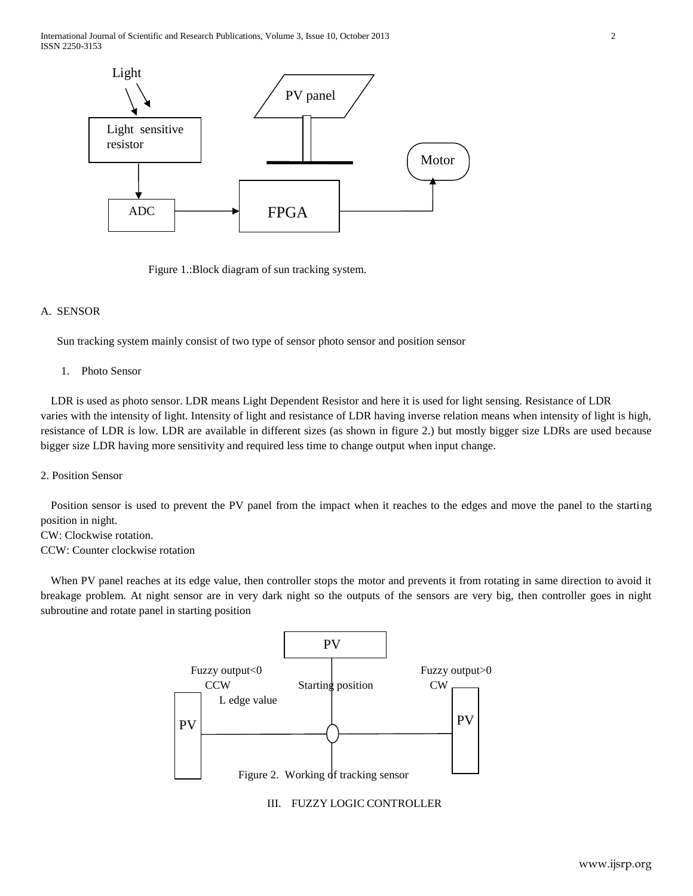International Journal of Scientific and Research Publications, Volume 3, Issue 10, October 2013 2 ISSN 2250-3153



Figure 1.:Block diagram of sun tracking system.

#### A. SENSOR

Sun tracking system mainly consist of two type of sensor photo sensor and position sensor

#### 1. Photo Sensor

LDR is used as photo sensor. LDR means Light Dependent Resistor and here it is used for light sensing. Resistance of LDR varies with the intensity of light. Intensity of light and resistance of LDR having inverse relation means when intensity of light is high, resistance of LDR is low. LDR are available in different sizes (as shown in figure 2.) but mostly bigger size LDRs are used because bigger size LDR having more sensitivity and required less time to change output when input change.

#### 2. Position Sensor

Position sensor is used to prevent the PV panel from the impact when it reaches to the edges and move the panel to the starting position in night.

CW: Clockwise rotation. CCW: Counter clockwise rotation

When PV panel reaches at its edge value, then controller stops the motor and prevents it from rotating in same direction to avoid it breakage problem. At night sensor are in very dark night so the outputs of the sensors are very big, then controller goes in night subroutine and rotate panel in starting position



III. FUZZY LOGIC CONTROLLER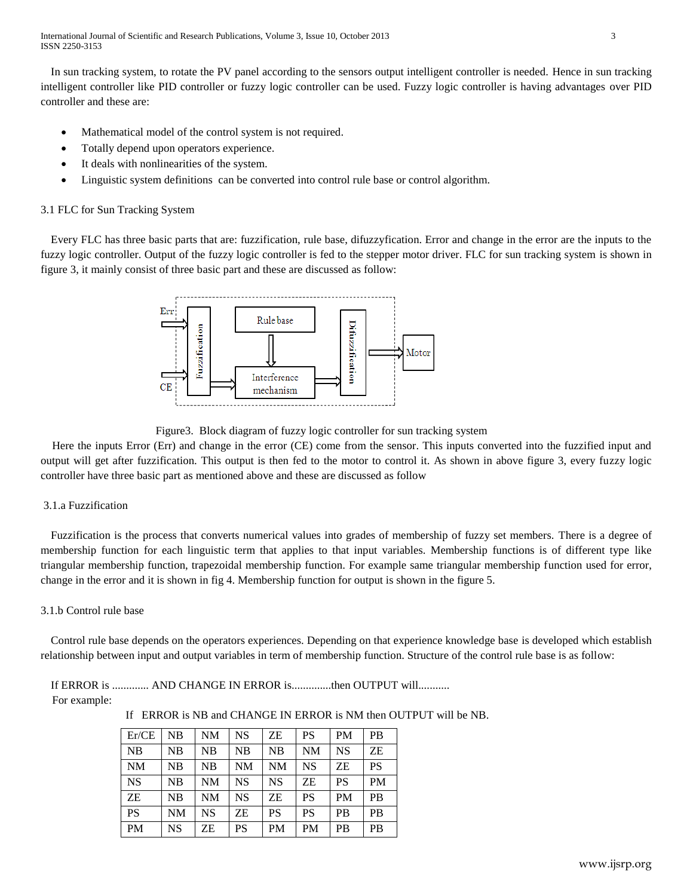In sun tracking system, to rotate the PV panel according to the sensors output intelligent controller is needed. Hence in sun tracking intelligent controller like PID controller or fuzzy logic controller can be used. Fuzzy logic controller is having advantages over PID controller and these are:

- Mathematical model of the control system is not required.
- Totally depend upon operators experience.
- It deals with nonlinearities of the system.
- Linguistic system definitions can be converted into control rule base or control algorithm.

## 3.1 FLC for Sun Tracking System

Every FLC has three basic parts that are: fuzzification, rule base, difuzzyfication. Error and change in the error are the inputs to the fuzzy logic controller. Output of the fuzzy logic controller is fed to the stepper motor driver. FLC for sun tracking system is shown in figure 3, it mainly consist of three basic part and these are discussed as follow:



Figure3. Block diagram of fuzzy logic controller for sun tracking system

 Here the inputs Error (Err) and change in the error (CE) come from the sensor. This inputs converted into the fuzzified input and output will get after fuzzification. This output is then fed to the motor to control it. As shown in above figure 3, every fuzzy logic controller have three basic part as mentioned above and these are discussed as follow

## 3.1.a Fuzzification

Fuzzification is the process that converts numerical values into grades of membership of fuzzy set members. There is a degree of membership function for each linguistic term that applies to that input variables. Membership functions is of different type like triangular membership function, trapezoidal membership function. For example same triangular membership function used for error, change in the error and it is shown in fig 4. Membership function for output is shown in the figure 5.

## 3.1.b Control rule base

Control rule base depends on the operators experiences. Depending on that experience knowledge base is developed which establish relationship between input and output variables in term of membership function. Structure of the control rule base is as follow:

If ERROR is ............. AND CHANGE IN ERROR is..............then OUTPUT will...........

For example:

If ERROR is NB and CHANGE IN ERROR is NM then OUTPUT will be NB.

| Er/CE     | NB        | <b>NM</b> | <b>NS</b> | ΖE        | <b>PS</b> | <b>PM</b> | <b>PB</b> |
|-----------|-----------|-----------|-----------|-----------|-----------|-----------|-----------|
| <b>NB</b> | NB        | NB        | NB        | <b>NB</b> | <b>NM</b> | <b>NS</b> | <b>ZE</b> |
| <b>NM</b> | NB        | NB        | <b>NM</b> | <b>NM</b> | <b>NS</b> | ΖE        | <b>PS</b> |
| <b>NS</b> | NB        | NM        | NS.       | <b>NS</b> | ΖE        | <b>PS</b> | <b>PM</b> |
| ΖE        | NB        | <b>NM</b> | <b>NS</b> | ΖE        | <b>PS</b> | <b>PM</b> | PB        |
| <b>PS</b> | <b>NM</b> | <b>NS</b> | <b>ZE</b> | <b>PS</b> | PS        | <b>PB</b> | PB        |
| <b>PM</b> | <b>NS</b> | ΖE        | PS        | <b>PM</b> | <b>PM</b> | <b>PB</b> | PB        |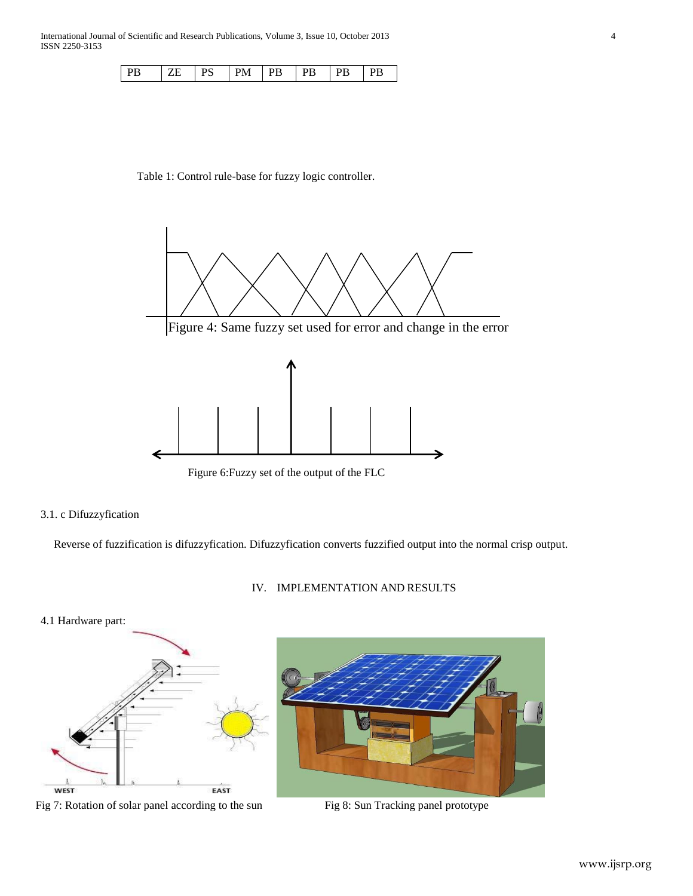| l PS<br>P <sub>B</sub><br>ZE | $PM$ $ PB$<br> PB PB | l PB |
|------------------------------|----------------------|------|
|------------------------------|----------------------|------|

## Table 1: Control rule-base for fuzzy logic controller.



## 3.1. c Difuzzyfication

Reverse of fuzzification is difuzzyfication. Difuzzyfication converts fuzzified output into the normal crisp output.

## IV. IMPLEMENTATION AND RESULTS